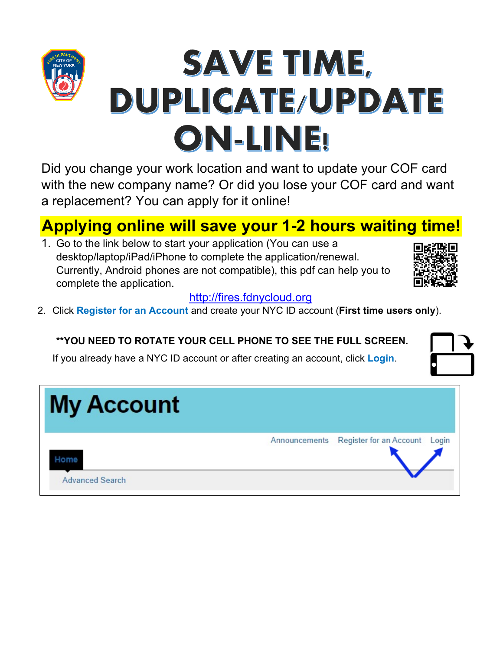# SAVE TIME, DUPLICATE/UPDATE ON-LINE!

Did you change your work location and want to update your COF card with the new company name? Or did you lose your COF card and want a replacement? You can apply for it online!

# **Applying online will save your 1-2 hours waiting time!**

1. Go to the link below to start your application (You can use a desktop/laptop/iPad/iPhone to complete the application/renewal. Currently, Android phones are not compatible), this pdf can help you to complete the application.



## [http://fires.fdnycloud.org](http://fires.fdnycloud.org/)

2. Click **Register for an Account** and create your NYC ID account (**First time users only**).

## **\*\*YOU NEED TO ROTATE YOUR CELL PHONE TO SEE THE FULL SCREEN.**

If you already have a NYC ID account or after creating an account, click **Login**.

| <b>My Account</b>              |                                             |
|--------------------------------|---------------------------------------------|
| lome<br><b>Advanced Search</b> | Announcements Register for an Account Login |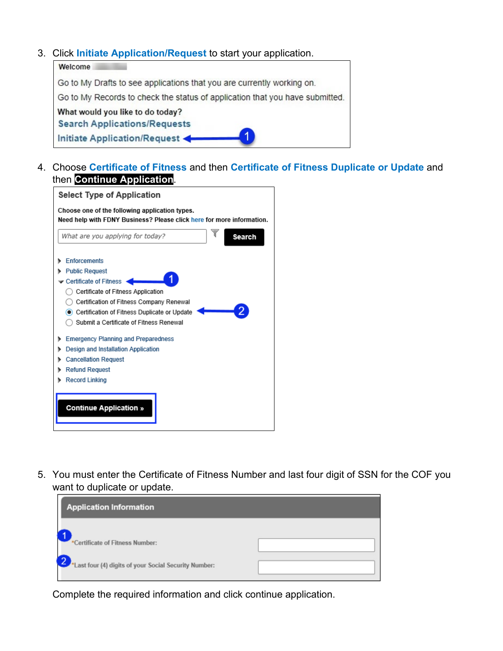#### 3. Click **Initiate Application/Request** to start your application.

| Welcome                                                                      |
|------------------------------------------------------------------------------|
| Go to My Drafts to see applications that you are currently working on.       |
| Go to My Records to check the status of application that you have submitted. |
| What would you like to do today?                                             |
| <b>Search Applications/Requests</b>                                          |
| Initiate Application/Request                                                 |

4. Choose **Certificate of Fitness** and then **Certificate of Fitness Duplicate or Update** and then **Continue Application**.



5. You must enter the Certificate of Fitness Number and last four digit of SSN for the COF you want to duplicate or update.



Complete the required information and click continue application.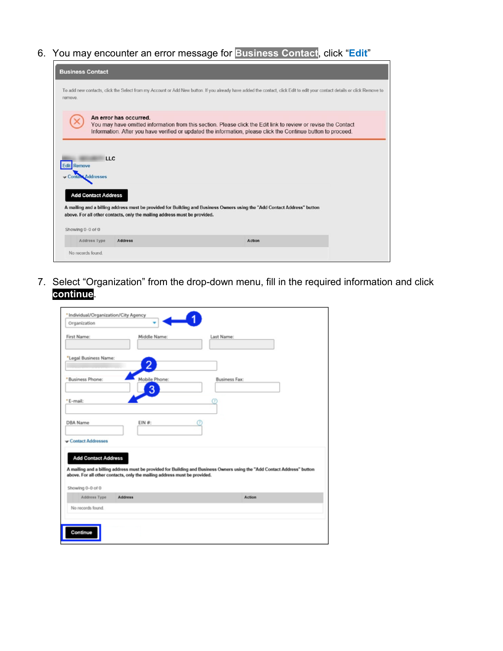6. You may encounter an error message for **Business Contact**, click "**Edit**"

| <b>Business Contact</b>                                      |                                                                           |                                                                                                                                                                                                                                 |               |                                                                                                                                                                            |
|--------------------------------------------------------------|---------------------------------------------------------------------------|---------------------------------------------------------------------------------------------------------------------------------------------------------------------------------------------------------------------------------|---------------|----------------------------------------------------------------------------------------------------------------------------------------------------------------------------|
| remove.                                                      |                                                                           |                                                                                                                                                                                                                                 |               | To add new contacts, click the Select from my Account or Add New button. If you already have added the contact, click Edit to edit your contact details or click Remove to |
|                                                              | An error has occurred.                                                    | You may have omitted information from this section. Please click the Edit link to review or revise the Contact<br>Information. After you have verified or updated the information, please click the Continue button to proceed. |               |                                                                                                                                                                            |
| <b>LLC</b><br><b>Edit</b> Remove<br><b>Contact Addresses</b> |                                                                           |                                                                                                                                                                                                                                 |               |                                                                                                                                                                            |
| <b>Add Contact Address</b>                                   |                                                                           | A mailing and a billing address must be provided for Building and Business Owners using the "Add Contact Address" button                                                                                                        |               |                                                                                                                                                                            |
|                                                              | above. For all other contacts, only the mailing address must be provided. |                                                                                                                                                                                                                                 |               |                                                                                                                                                                            |
| Showing 0-0 of 0<br>Address Type                             | <b>Address</b>                                                            |                                                                                                                                                                                                                                 | <b>Action</b> |                                                                                                                                                                            |
| No records found.                                            |                                                                           |                                                                                                                                                                                                                                 |               |                                                                                                                                                                            |

7. Select "Organization" from the drop-down menu, fill in the required information and click **continue**.

| First Name:<br>Middle Name:<br>Last Name:<br>*Legal Business Name:<br>2<br>Mobile Phone:<br><b>Business Fax:</b><br>3<br>$EIN$ #:<br><b>Add Contact Address</b><br>Address Type<br>Action<br><b>Address</b><br>No records found.                                  | Organization |  |
|-------------------------------------------------------------------------------------------------------------------------------------------------------------------------------------------------------------------------------------------------------------------|--------------|--|
|                                                                                                                                                                                                                                                                   |              |  |
| *Business Phone:                                                                                                                                                                                                                                                  |              |  |
| *E-mail:                                                                                                                                                                                                                                                          |              |  |
| <b>DBA Name</b><br>Contact Addresses<br>A mailing and a billing address must be provided for Building and Business Owners using the "Add Contact Address" button<br>above. For all other contacts, only the mailing address must be provided.<br>Showing 0-0 of 0 |              |  |
|                                                                                                                                                                                                                                                                   |              |  |
|                                                                                                                                                                                                                                                                   |              |  |
|                                                                                                                                                                                                                                                                   |              |  |
|                                                                                                                                                                                                                                                                   |              |  |
|                                                                                                                                                                                                                                                                   |              |  |
|                                                                                                                                                                                                                                                                   |              |  |
|                                                                                                                                                                                                                                                                   |              |  |
|                                                                                                                                                                                                                                                                   |              |  |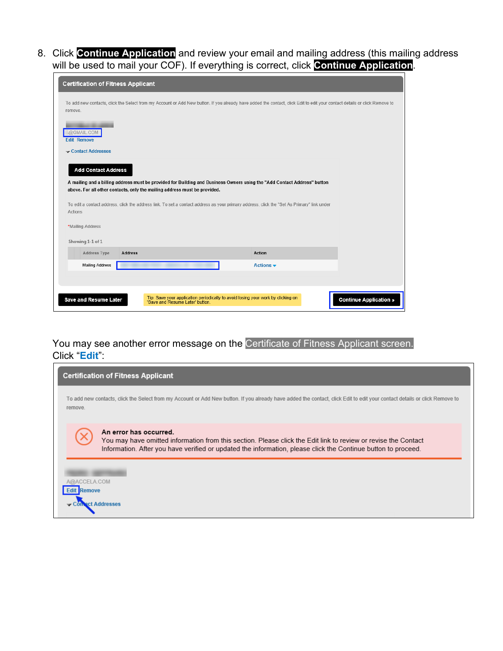8. Click **Continue Application** and review your email and mailing address (this mailing address will be used to mail your COF). If everything is correct, click **Continue Application**.

| <b>Certification of Fitness Applicant</b> |                                                                                                                                                                            |                              |                               |
|-------------------------------------------|----------------------------------------------------------------------------------------------------------------------------------------------------------------------------|------------------------------|-------------------------------|
| remove.                                   | To add new contacts, click the Select from my Account or Add New button. If you already have added the contact, click Edit to edit your contact details or click Remove to |                              |                               |
| @GMAIL.COM<br><b>Edit Remove</b>          |                                                                                                                                                                            |                              |                               |
| Contact Addresses                         |                                                                                                                                                                            |                              |                               |
| <b>Add Contact Address</b>                |                                                                                                                                                                            |                              |                               |
|                                           | A mailing and a billing address must be provided for Building and Business Owners using the "Add Contact Address" button                                                   |                              |                               |
|                                           | above. For all other contacts, only the mailing address must be provided.                                                                                                  |                              |                               |
| Actions                                   | To edit a contact address, click the address link. To set a contact address as your primary address, click the "Set As Primary" link under                                 |                              |                               |
|                                           |                                                                                                                                                                            |                              |                               |
| *Mailing Address                          |                                                                                                                                                                            |                              |                               |
| Showing 1-1 of 1                          |                                                                                                                                                                            |                              |                               |
| <b>Address Type</b><br><b>Address</b>     |                                                                                                                                                                            | Action                       |                               |
| <b>Mailing Address</b>                    |                                                                                                                                                                            | Actions $\blacktriangledown$ |                               |
|                                           |                                                                                                                                                                            |                              |                               |
| <b>Save and Resume Later</b>              | Tip: Save your application periodically to avoid losing your work by clicking on 'Save and Resume Later' button.                                                           |                              | <b>Continue Application »</b> |
|                                           |                                                                                                                                                                            |                              |                               |

#### You may see another error message on the Certificate of Fitness Applicant screen. Click "**Edit**":

| <b>Certification of Fitness Applicant</b>                                                                                                                                                                                                                 |  |
|-----------------------------------------------------------------------------------------------------------------------------------------------------------------------------------------------------------------------------------------------------------|--|
| To add new contacts, click the Select from my Account or Add New button. If you already have added the contact, click Edit to edit your contact details or click Remove to<br>remove.                                                                     |  |
| An error has occurred.<br>You may have omitted information from this section. Please click the Edit link to review or revise the Contact<br>Information. After you have verified or updated the information, please click the Continue button to proceed. |  |
| A@ACCELA.COM<br><b>Edit Remove</b>                                                                                                                                                                                                                        |  |
| Connact Addresses                                                                                                                                                                                                                                         |  |